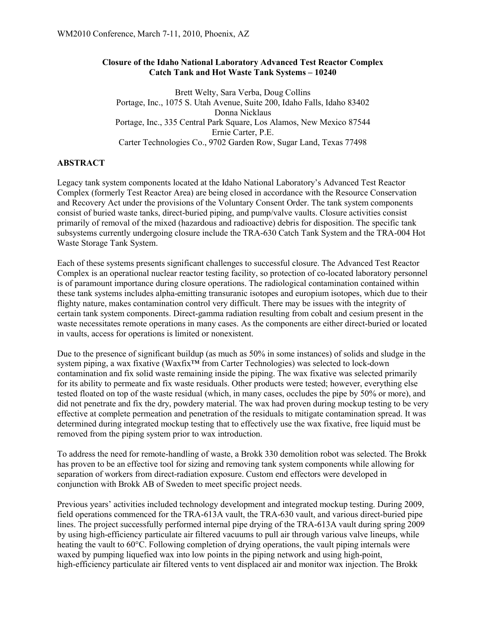#### **Closure of the Idaho National Laboratory Advanced Test Reactor Complex Catch Tank and Hot Waste Tank Systems – 10240**

Brett Welty, Sara Verba, Doug Collins Portage, Inc., 1075 S. Utah Avenue, Suite 200, Idaho Falls, Idaho 83402 Donna Nicklaus Portage, Inc., 335 Central Park Square, Los Alamos, New Mexico 87544 Ernie Carter, P.E. Carter Technologies Co., 9702 Garden Row, Sugar Land, Texas 77498

#### **ABSTRACT**

Legacy tank system components located at the Idaho National Laboratory's Advanced Test Reactor Complex (formerly Test Reactor Area) are being closed in accordance with the Resource Conservation and Recovery Act under the provisions of the Voluntary Consent Order. The tank system components consist of buried waste tanks, direct-buried piping, and pump/valve vaults. Closure activities consist primarily of removal of the mixed (hazardous and radioactive) debris for disposition. The specific tank subsystems currently undergoing closure include the TRA-630 Catch Tank System and the TRA-004 Hot Waste Storage Tank System.

Each of these systems presents significant challenges to successful closure. The Advanced Test Reactor Complex is an operational nuclear reactor testing facility, so protection of co-located laboratory personnel is of paramount importance during closure operations. The radiological contamination contained within these tank systems includes alpha-emitting transuranic isotopes and europium isotopes, which due to their flighty nature, makes contamination control very difficult. There may be issues with the integrity of certain tank system components. Direct-gamma radiation resulting from cobalt and cesium present in the waste necessitates remote operations in many cases. As the components are either direct-buried or located in vaults, access for operations is limited or nonexistent.

Due to the presence of significant buildup (as much as 50% in some instances) of solids and sludge in the system piping, a wax fixative (Waxfix™ from Carter Technologies) was selected to lock-down contamination and fix solid waste remaining inside the piping. The wax fixative was selected primarily for its ability to permeate and fix waste residuals. Other products were tested; however, everything else tested floated on top of the waste residual (which, in many cases, occludes the pipe by 50% or more), and did not penetrate and fix the dry, powdery material. The wax had proven during mockup testing to be very effective at complete permeation and penetration of the residuals to mitigate contamination spread. It was determined during integrated mockup testing that to effectively use the wax fixative, free liquid must be removed from the piping system prior to wax introduction.

To address the need for remote-handling of waste, a Brokk 330 demolition robot was selected. The Brokk has proven to be an effective tool for sizing and removing tank system components while allowing for separation of workers from direct-radiation exposure. Custom end effectors were developed in conjunction with Brokk AB of Sweden to meet specific project needs.

Previous years' activities included technology development and integrated mockup testing. During 2009, field operations commenced for the TRA-613A vault, the TRA-630 vault, and various direct-buried pipe lines. The project successfully performed internal pipe drying of the TRA-613A vault during spring 2009 by using high-efficiency particulate air filtered vacuums to pull air through various valve lineups, while heating the vault to 60°C. Following completion of drying operations, the vault piping internals were waxed by pumping liquefied wax into low points in the piping network and using high-point, high-efficiency particulate air filtered vents to vent displaced air and monitor wax injection. The Brokk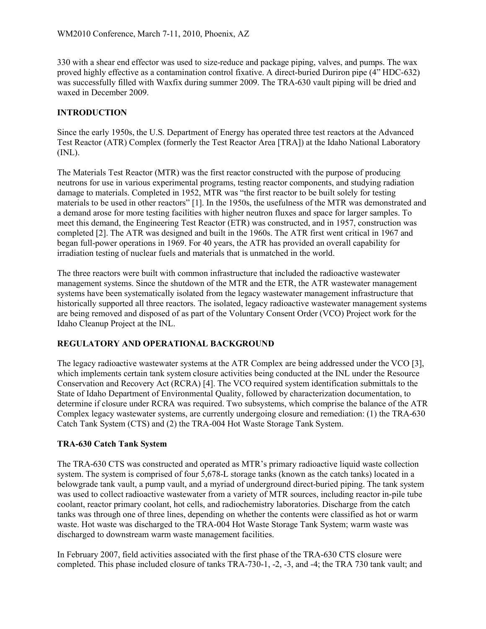330 with a shear end effector was used to size-reduce and package piping, valves, and pumps. The wax proved highly effective as a contamination control fixative. A direct-buried Duriron pipe (4" HDC-632) was successfully filled with Waxfix during summer 2009. The TRA-630 vault piping will be dried and waxed in December 2009.

## **INTRODUCTION**

Since the early 1950s, the U.S. Department of Energy has operated three test reactors at the Advanced Test Reactor (ATR) Complex (formerly the Test Reactor Area [TRA]) at the Idaho National Laboratory  $(INL)$ .

The Materials Test Reactor (MTR) was the first reactor constructed with the purpose of producing neutrons for use in various experimental programs, testing reactor components, and studying radiation damage to materials. Completed in 1952, MTR was "the first reactor to be built solely for testing materials to be used in other reactors" [1]. In the 1950s, the usefulness of the MTR was demonstrated and a demand arose for more testing facilities with higher neutron fluxes and space for larger samples. To meet this demand, the Engineering Test Reactor (ETR) was constructed, and in 1957, construction was completed [2]. The ATR was designed and built in the 1960s. The ATR first went critical in 1967 and began full-power operations in 1969. For 40 years, the ATR has provided an overall capability for irradiation testing of nuclear fuels and materials that is unmatched in the world.

The three reactors were built with common infrastructure that included the radioactive wastewater management systems. Since the shutdown of the MTR and the ETR, the ATR wastewater management systems have been systematically isolated from the legacy wastewater management infrastructure that historically supported all three reactors. The isolated, legacy radioactive wastewater management systems are being removed and disposed of as part of the Voluntary Consent Order (VCO) Project work for the Idaho Cleanup Project at the INL.

#### **REGULATORY AND OPERATIONAL BACKGROUND**

The legacy radioactive wastewater systems at the ATR Complex are being addressed under the VCO [3], which implements certain tank system closure activities being conducted at the INL under the Resource Conservation and Recovery Act (RCRA) [4]. The VCO required system identification submittals to the State of Idaho Department of Environmental Quality, followed by characterization documentation, to determine if closure under RCRA was required. Two subsystems, which comprise the balance of the ATR Complex legacy wastewater systems, are currently undergoing closure and remediation: (1) the TRA-630 Catch Tank System (CTS) and (2) the TRA-004 Hot Waste Storage Tank System.

#### **TRA-630 Catch Tank System**

The TRA-630 CTS was constructed and operated as MTR's primary radioactive liquid waste collection system. The system is comprised of four 5,678-L storage tanks (known as the catch tanks) located in a belowgrade tank vault, a pump vault, and a myriad of underground direct-buried piping. The tank system was used to collect radioactive wastewater from a variety of MTR sources, including reactor in-pile tube coolant, reactor primary coolant, hot cells, and radiochemistry laboratories. Discharge from the catch tanks was through one of three lines, depending on whether the contents were classified as hot or warm waste. Hot waste was discharged to the TRA-004 Hot Waste Storage Tank System; warm waste was discharged to downstream warm waste management facilities.

In February 2007, field activities associated with the first phase of the TRA-630 CTS closure were completed. This phase included closure of tanks TRA-730-1, -2, -3, and -4; the TRA 730 tank vault; and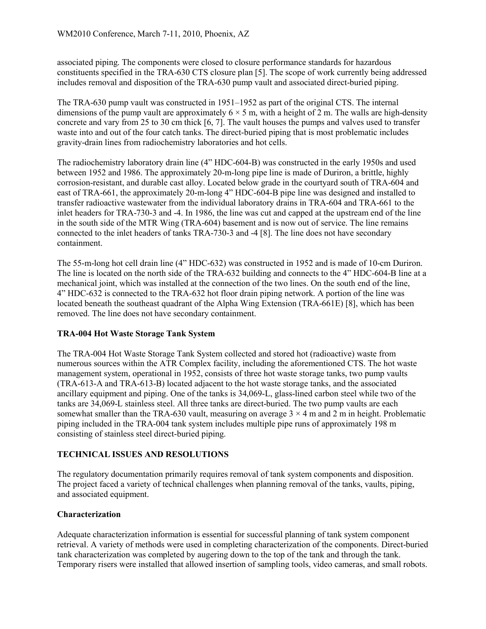associated piping. The components were closed to closure performance standards for hazardous constituents specified in the TRA-630 CTS closure plan [5]. The scope of work currently being addressed includes removal and disposition of the TRA-630 pump vault and associated direct-buried piping.

The TRA-630 pump vault was constructed in 1951–1952 as part of the original CTS. The internal dimensions of the pump vault are approximately  $6 \times 5$  m, with a height of 2 m. The walls are high-density concrete and vary from 25 to 30 cm thick [6, 7]. The vault houses the pumps and valves used to transfer waste into and out of the four catch tanks. The direct-buried piping that is most problematic includes gravity-drain lines from radiochemistry laboratories and hot cells.

The radiochemistry laboratory drain line (4" HDC-604-B) was constructed in the early 1950s and used between 1952 and 1986. The approximately 20-m-long pipe line is made of Duriron, a brittle, highly corrosion-resistant, and durable cast alloy. Located below grade in the courtyard south of TRA-604 and east of TRA-661, the approximately 20-m-long 4" HDC-604-B pipe line was designed and installed to transfer radioactive wastewater from the individual laboratory drains in TRA-604 and TRA-661 to the inlet headers for TRA-730-3 and -4. In 1986, the line was cut and capped at the upstream end of the line in the south side of the MTR Wing (TRA-604) basement and is now out of service. The line remains connected to the inlet headers of tanks TRA-730-3 and -4 [8]. The line does not have secondary containment.

The 55-m-long hot cell drain line (4" HDC-632) was constructed in 1952 and is made of 10-cm Duriron. The line is located on the north side of the TRA-632 building and connects to the 4" HDC-604-B line at a mechanical joint, which was installed at the connection of the two lines. On the south end of the line, 4" HDC-632 is connected to the TRA-632 hot floor drain piping network. A portion of the line was located beneath the southeast quadrant of the Alpha Wing Extension (TRA-661E) [8], which has been removed. The line does not have secondary containment.

#### **TRA-004 Hot Waste Storage Tank System**

The TRA-004 Hot Waste Storage Tank System collected and stored hot (radioactive) waste from numerous sources within the ATR Complex facility, including the aforementioned CTS. The hot waste management system, operational in 1952, consists of three hot waste storage tanks, two pump vaults (TRA-613-A and TRA-613-B) located adjacent to the hot waste storage tanks, and the associated ancillary equipment and piping. One of the tanks is 34,069-L, glass-lined carbon steel while two of the tanks are 34,069-L stainless steel. All three tanks are direct-buried. The two pump vaults are each somewhat smaller than the TRA-630 vault, measuring on average  $3 \times 4$  m and 2 m in height. Problematic piping included in the TRA-004 tank system includes multiple pipe runs of approximately 198 m consisting of stainless steel direct-buried piping.

#### **TECHNICAL ISSUES AND RESOLUTIONS**

The regulatory documentation primarily requires removal of tank system components and disposition. The project faced a variety of technical challenges when planning removal of the tanks, vaults, piping, and associated equipment.

#### **Characterization**

Adequate characterization information is essential for successful planning of tank system component retrieval. A variety of methods were used in completing characterization of the components. Direct-buried tank characterization was completed by augering down to the top of the tank and through the tank. Temporary risers were installed that allowed insertion of sampling tools, video cameras, and small robots.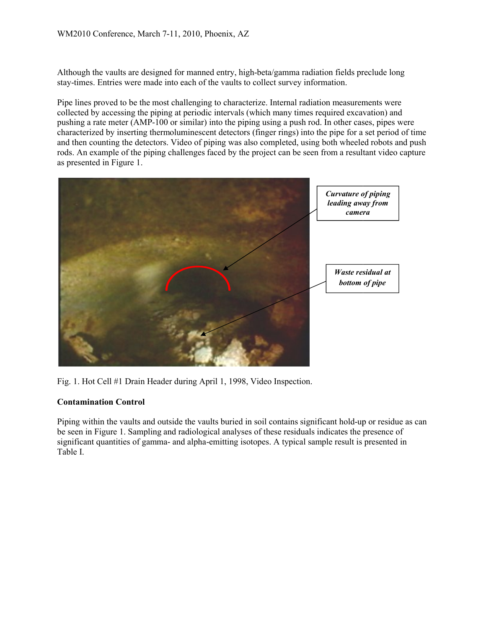WM2010 Conference, March 7-11, 2010, Phoenix, AZ<br>Although the vaults are designed for manned entry, high-beta/gamma radiation fields preclude long stay-times. Entries were made into each of the vaults to collect survey information.

Pipe lines proved to be the most challenging to characterize. Internal radiation measurements were collected by accessing the piping at periodic intervals (which many times required excavation) and pushing a rate meter (AMP-100 or similar) into the piping using a push rod. In other cases, pipes were characterized by inserting thermoluminescent detectors (finger rings) into the pipe for a set period of time and then counting the detectors. Video of piping was also completed, using both wheeled robots and push rods. An example of the piping challenges faced by the project can be seen from a resultant video capture as presented in Figure 1. ation fields preclude long<br>prmation.<br>tion measurements were<br>required excavation) and<br>d. In other cases, pipes were<br>the pipe for a set period of time<br>g both wheeled robots and push



Fig. 1. Hot Cell #1 Drain Header during April 1, 1998, Video Inspection.

#### **Contamination Control**

Piping within the vaults and outside the vaults buried in soil contains significant hold-up or residue as can be seen in Figure 1. Sampling and radiological analyses of these residuals indicates the presence of significant quantities of gamma- and alpha-emitting isotopes. A typical sample result is presented in Table I.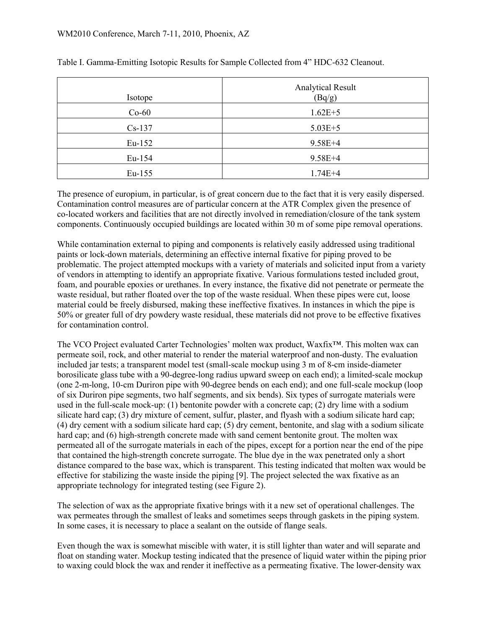| Isotope  | <b>Analytical Result</b><br>(Bq/g) |
|----------|------------------------------------|
| $Co-60$  | $1.62E + 5$                        |
| $Cs-137$ | $5.03E + 5$                        |
| $Eu-152$ | $9.58E + 4$                        |
| Eu-154   | $9.58E + 4$                        |
| Eu-155   | $1.74E + 4$                        |

Table I. Gamma-Emitting Isotopic Results for Sample Collected from 4" HDC-632 Cleanout.

The presence of europium, in particular, is of great concern due to the fact that it is very easily dispersed. Contamination control measures are of particular concern at the ATR Complex given the presence of co-located workers and facilities that are not directly involved in remediation/closure of the tank system components. Continuously occupied buildings are located within 30 m of some pipe removal operations.

While contamination external to piping and components is relatively easily addressed using traditional paints or lock-down materials, determining an effective internal fixative for piping proved to be problematic. The project attempted mockups with a variety of materials and solicited input from a variety of vendors in attempting to identify an appropriate fixative. Various formulations tested included grout, foam, and pourable epoxies or urethanes. In every instance, the fixative did not penetrate or permeate the waste residual, but rather floated over the top of the waste residual. When these pipes were cut, loose material could be freely disbursed, making these ineffective fixatives. In instances in which the pipe is 50% or greater full of dry powdery waste residual, these materials did not prove to be effective fixatives for contamination control.

The VCO Project evaluated Carter Technologies' molten wax product, Waxfix™. This molten wax can permeate soil, rock, and other material to render the material waterproof and non-dusty. The evaluation included jar tests; a transparent model test (small-scale mockup using 3 m of 8-cm inside-diameter borosilicate glass tube with a 90-degree-long radius upward sweep on each end); a limited-scale mockup (one 2-m-long, 10-cm Duriron pipe with 90-degree bends on each end); and one full-scale mockup (loop of six Duriron pipe segments, two half segments, and six bends). Six types of surrogate materials were used in the full-scale mock-up: (1) bentonite powder with a concrete cap; (2) dry lime with a sodium silicate hard cap; (3) dry mixture of cement, sulfur, plaster, and flyash with a sodium silicate hard cap; (4) dry cement with a sodium silicate hard cap; (5) dry cement, bentonite, and slag with a sodium silicate hard cap; and (6) high-strength concrete made with sand cement bentonite grout. The molten wax permeated all of the surrogate materials in each of the pipes, except for a portion near the end of the pipe that contained the high-strength concrete surrogate. The blue dye in the wax penetrated only a short distance compared to the base wax, which is transparent. This testing indicated that molten wax would be effective for stabilizing the waste inside the piping [9]. The project selected the wax fixative as an appropriate technology for integrated testing (see Figure 2).

The selection of wax as the appropriate fixative brings with it a new set of operational challenges. The wax permeates through the smallest of leaks and sometimes seeps through gaskets in the piping system. In some cases, it is necessary to place a sealant on the outside of flange seals.

Even though the wax is somewhat miscible with water, it is still lighter than water and will separate and float on standing water. Mockup testing indicated that the presence of liquid water within the piping prior to waxing could block the wax and render it ineffective as a permeating fixative. The lower-density wax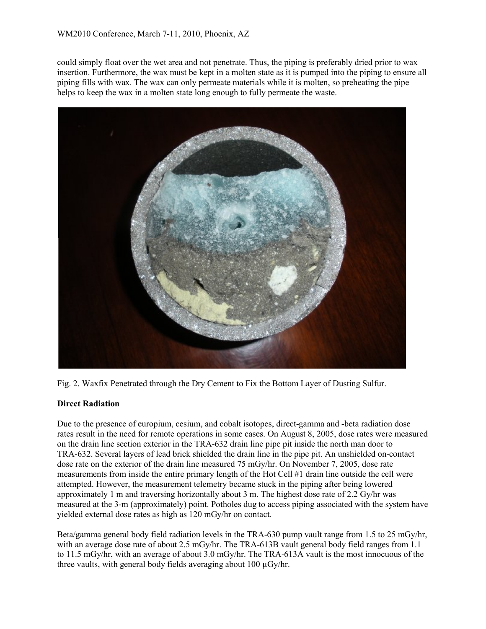could simply float over the wet area and not penetrate. Thus, the piping is preferably dried prior to wax insertion. Furthermore, the wax must be kept in a molten state as it is pumped into the piping to ensure all piping fills with wax. The wax can only permeate materials while it is molten, so preheating the pipe helps to keep the wax in a molten state long enough to fully permeate the waste.



Fig. 2. Waxfix Penetrated through the Dry Cement to Fix the Bottom Layer of Dusting Sulfur.

#### **Direct Radiation**

Due to the presence of europium, cesium, and cobalt isotopes, direct-gamma and -beta radiation dose rates result in the need for remote operations in some cases. On August 8, 2005, dose rates were measured on the drain line section exterior in the TRA-632 drain line pipe pit inside the north man door to TRA-632. Several layers of lead brick shielded the drain line in the pipe pit. An unshielded on-contact dose rate on the exterior of the drain line measured 75 mGy/hr. On November 7, 2005, dose rate measurements from inside the entire primary length of the Hot Cell #1 drain line outside the cell were attempted. However, the measurement telemetry became stuck in the piping after being lowered approximately 1 m and traversing horizontally about 3 m. The highest dose rate of 2.2 Gy/hr was measured at the 3-m (approximately) point. Potholes dug to access piping associated with the system have yielded external dose rates as high as 120 mGy/hr on contact.

Beta/gamma general body field radiation levels in the TRA-630 pump vault range from 1.5 to 25 mGy/hr, with an average dose rate of about 2.5 mGy/hr. The TRA-613B vault general body field ranges from 1.1 to 11.5 mGy/hr, with an average of about 3.0 mGy/hr. The TRA-613A vault is the most innocuous of the three vaults, with general body fields averaging about 100 µGy/hr.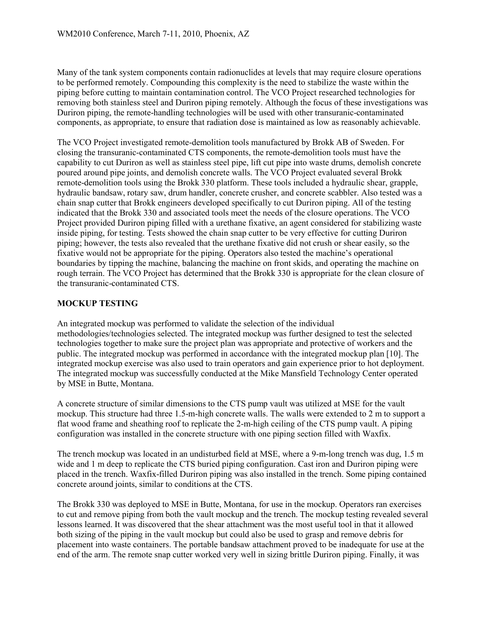Many of the tank system components contain radionuclides at levels that may require closure operations to be performed remotely. Compounding this complexity is the need to stabilize the waste within the piping before cutting to maintain contamination control. The VCO Project researched technologies for removing both stainless steel and Duriron piping remotely. Although the focus of these investigations was Duriron piping, the remote-handling technologies will be used with other transuranic-contaminated components, as appropriate, to ensure that radiation dose is maintained as low as reasonably achievable.

The VCO Project investigated remote-demolition tools manufactured by Brokk AB of Sweden. For closing the transuranic-contaminated CTS components, the remote-demolition tools must have the capability to cut Duriron as well as stainless steel pipe, lift cut pipe into waste drums, demolish concrete poured around pipe joints, and demolish concrete walls. The VCO Project evaluated several Brokk remote-demolition tools using the Brokk 330 platform. These tools included a hydraulic shear, grapple, hydraulic bandsaw, rotary saw, drum handler, concrete crusher, and concrete scabbler. Also tested was a chain snap cutter that Brokk engineers developed specifically to cut Duriron piping. All of the testing indicated that the Brokk 330 and associated tools meet the needs of the closure operations. The VCO Project provided Duriron piping filled with a urethane fixative, an agent considered for stabilizing waste inside piping, for testing. Tests showed the chain snap cutter to be very effective for cutting Duriron piping; however, the tests also revealed that the urethane fixative did not crush or shear easily, so the fixative would not be appropriate for the piping. Operators also tested the machine's operational boundaries by tipping the machine, balancing the machine on front skids, and operating the machine on rough terrain. The VCO Project has determined that the Brokk 330 is appropriate for the clean closure of the transuranic-contaminated CTS.

#### **MOCKUP TESTING**

An integrated mockup was performed to validate the selection of the individual methodologies/technologies selected. The integrated mockup was further designed to test the selected technologies together to make sure the project plan was appropriate and protective of workers and the public. The integrated mockup was performed in accordance with the integrated mockup plan [10]. The integrated mockup exercise was also used to train operators and gain experience prior to hot deployment. The integrated mockup was successfully conducted at the Mike Mansfield Technology Center operated by MSE in Butte, Montana.

A concrete structure of similar dimensions to the CTS pump vault was utilized at MSE for the vault mockup. This structure had three 1.5-m-high concrete walls. The walls were extended to 2 m to support a flat wood frame and sheathing roof to replicate the 2-m-high ceiling of the CTS pump vault. A piping configuration was installed in the concrete structure with one piping section filled with Waxfix.

The trench mockup was located in an undisturbed field at MSE, where a 9-m-long trench was dug, 1.5 m wide and 1 m deep to replicate the CTS buried piping configuration. Cast iron and Duriron piping were placed in the trench. Waxfix-filled Duriron piping was also installed in the trench. Some piping contained concrete around joints, similar to conditions at the CTS.

The Brokk 330 was deployed to MSE in Butte, Montana, for use in the mockup. Operators ran exercises to cut and remove piping from both the vault mockup and the trench. The mockup testing revealed several lessons learned. It was discovered that the shear attachment was the most useful tool in that it allowed both sizing of the piping in the vault mockup but could also be used to grasp and remove debris for placement into waste containers. The portable bandsaw attachment proved to be inadequate for use at the end of the arm. The remote snap cutter worked very well in sizing brittle Duriron piping. Finally, it was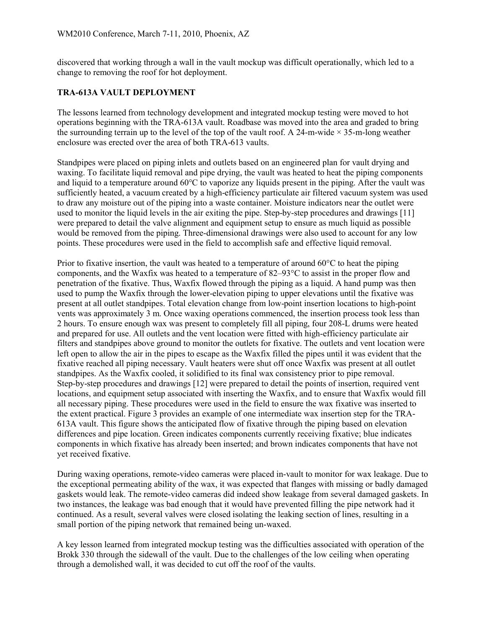discovered that working through a wall in the vault mockup was difficult operationally, which led to a change to removing the roof for hot deployment.

#### **TRA-613A VAULT DEPLOYMENT**

The lessons learned from technology development and integrated mockup testing were moved to hot operations beginning with the TRA-613A vault. Roadbase was moved into the area and graded to bring the surrounding terrain up to the level of the top of the vault roof. A 24-m-wide  $\times$  35-m-long weather enclosure was erected over the area of both TRA-613 vaults.

Standpipes were placed on piping inlets and outlets based on an engineered plan for vault drying and waxing. To facilitate liquid removal and pipe drying, the vault was heated to heat the piping components and liquid to a temperature around 60°C to vaporize any liquids present in the piping. After the vault was sufficiently heated, a vacuum created by a high-efficiency particulate air filtered vacuum system was used to draw any moisture out of the piping into a waste container. Moisture indicators near the outlet were used to monitor the liquid levels in the air exiting the pipe. Step-by-step procedures and drawings [11] were prepared to detail the valve alignment and equipment setup to ensure as much liquid as possible would be removed from the piping. Three-dimensional drawings were also used to account for any low points. These procedures were used in the field to accomplish safe and effective liquid removal.

Prior to fixative insertion, the vault was heated to a temperature of around 60°C to heat the piping components, and the Waxfix was heated to a temperature of  $82-93^{\circ}$ C to assist in the proper flow and penetration of the fixative. Thus, Waxfix flowed through the piping as a liquid. A hand pump was then used to pump the Waxfix through the lower-elevation piping to upper elevations until the fixative was present at all outlet standpipes. Total elevation change from low-point insertion locations to high-point vents was approximately 3 m. Once waxing operations commenced, the insertion process took less than 2 hours. To ensure enough wax was present to completely fill all piping, four 208-L drums were heated and prepared for use. All outlets and the vent location were fitted with high-efficiency particulate air filters and standpipes above ground to monitor the outlets for fixative. The outlets and vent location were left open to allow the air in the pipes to escape as the Waxfix filled the pipes until it was evident that the fixative reached all piping necessary. Vault heaters were shut off once Waxfix was present at all outlet standpipes. As the Waxfix cooled, it solidified to its final wax consistency prior to pipe removal. Step-by-step procedures and drawings [12] were prepared to detail the points of insertion, required vent locations, and equipment setup associated with inserting the Waxfix, and to ensure that Waxfix would fill all necessary piping. These procedures were used in the field to ensure the wax fixative was inserted to the extent practical. Figure 3 provides an example of one intermediate wax insertion step for the TRA-613A vault. This figure shows the anticipated flow of fixative through the piping based on elevation differences and pipe location. Green indicates components currently receiving fixative; blue indicates components in which fixative has already been inserted; and brown indicates components that have not yet received fixative.

During waxing operations, remote-video cameras were placed in-vault to monitor for wax leakage. Due to the exceptional permeating ability of the wax, it was expected that flanges with missing or badly damaged gaskets would leak. The remote-video cameras did indeed show leakage from several damaged gaskets. In two instances, the leakage was bad enough that it would have prevented filling the pipe network had it continued. As a result, several valves were closed isolating the leaking section of lines, resulting in a small portion of the piping network that remained being un-waxed.

A key lesson learned from integrated mockup testing was the difficulties associated with operation of the Brokk 330 through the sidewall of the vault. Due to the challenges of the low ceiling when operating through a demolished wall, it was decided to cut off the roof of the vaults.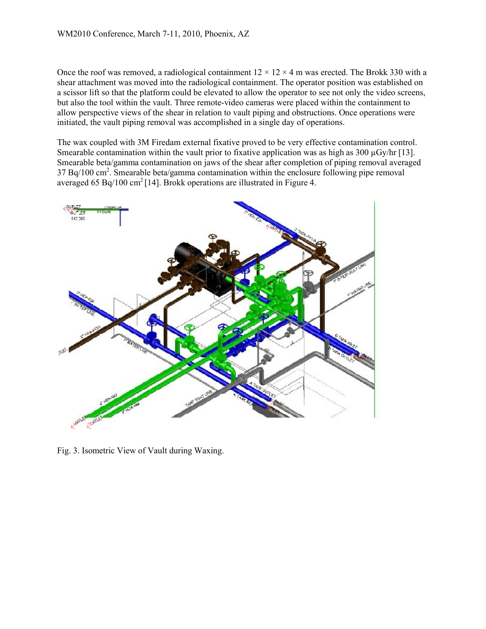Once the roof was removed, a radiological containment  $12 \times 12 \times 4$  m was erected. The Brokk 330 with a shear attachment was moved into the radiological containment. The operator position was established on a scissor lift so that the platform could be elevated to allow the operator to see not only the video screens, but also the tool within the vault. Three remote-video cameras were placed within the containment to allow perspective views of the shear in relation to vault piping and obstructions. Once operations were initiated, the vault piping removal was accomplished in a single day of operations.

The wax coupled with 3M Firedam external fixative proved to be very effective contamination control. Smearable contamination within the vault prior to fixative application was as high as 300  $\mu$ Gy/hr [13]. Smearable beta/gamma contamination on jaws of the shear after completion of piping removal averaged  $37 Bq/100 \text{ cm}^2$ . Smearable beta/gamma contamination within the enclosure following pipe removal averaged 65 Bq/100 cm<sup>2</sup> [14]. Brokk operations are illustrated in Figure 4.



Fig. 3. Isometric View of Vault during Waxing.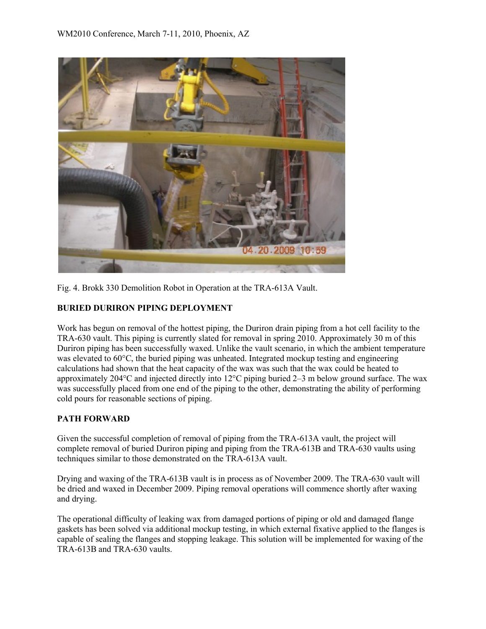

Fig. 4. Brokk 330 Demolition Robot in Operation at the TRA-613A Vault.

# **BURIED DURIRON PIPING DEPLOYMENT**

Work has begun on removal of the hottest piping, the Duriron drain piping from a hot cell facility to the TRA-630 vault. This piping is currently slated for removal in spring 2010. Approximately 30 m of this Duriron piping has been successfully waxed. Unlike the vault scenario, in which the ambient temperature was elevated to 60°C, the buried piping was unheated. Integrated mockup testing and engineering calculations had shown that the heat capacity of the wax was such that the wax could be heated to approximately 204°C and injected directly into 12°C piping buried 2–3 m below ground surface. The wax was successfully placed from one end of the piping to the other, demonstrating the ability of performing cold pours for reasonable sections of piping.

#### **PATH FORWARD**

Given the successful completion of removal of piping from the TRA-613A vault, the project will complete removal of buried Duriron piping and piping from the TRA-613B and TRA-630 vaults using techniques similar to those demonstrated on the TRA-613A vault.

Drying and waxing of the TRA-613B vault is in process as of November 2009. The TRA-630 vault will be dried and waxed in December 2009. Piping removal operations will commence shortly after waxing and drying.

The operational difficulty of leaking wax from damaged portions of piping or old and damaged flange gaskets has been solved via additional mockup testing, in which external fixative applied to the flanges is capable of sealing the flanges and stopping leakage. This solution will be implemented for waxing of the TRA-613B and TRA-630 vaults.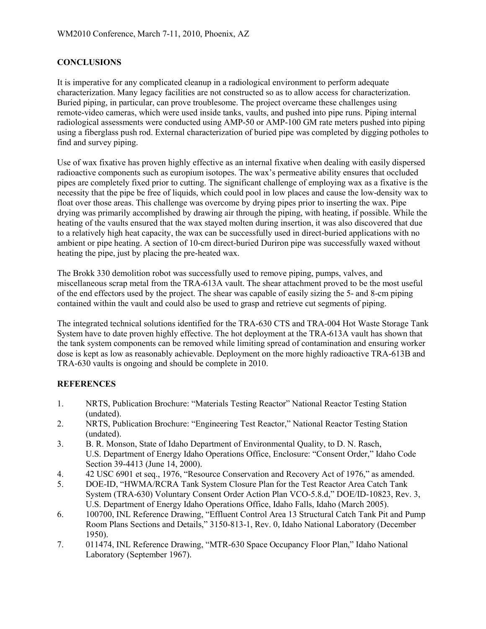## **CONCLUSIONS**

It is imperative for any complicated cleanup in a radiological environment to perform adequate characterization. Many legacy facilities are not constructed so as to allow access for characterization. Buried piping, in particular, can prove troublesome. The project overcame these challenges using remote-video cameras, which were used inside tanks, vaults, and pushed into pipe runs. Piping internal radiological assessments were conducted using AMP-50 or AMP-100 GM rate meters pushed into piping using a fiberglass push rod. External characterization of buried pipe was completed by digging potholes to find and survey piping.

Use of wax fixative has proven highly effective as an internal fixative when dealing with easily dispersed radioactive components such as europium isotopes. The wax's permeative ability ensures that occluded pipes are completely fixed prior to cutting. The significant challenge of employing wax as a fixative is the necessity that the pipe be free of liquids, which could pool in low places and cause the low-density wax to float over those areas. This challenge was overcome by drying pipes prior to inserting the wax. Pipe drying was primarily accomplished by drawing air through the piping, with heating, if possible. While the heating of the vaults ensured that the wax stayed molten during insertion, it was also discovered that due to a relatively high heat capacity, the wax can be successfully used in direct-buried applications with no ambient or pipe heating. A section of 10-cm direct-buried Duriron pipe was successfully waxed without heating the pipe, just by placing the pre-heated wax.

The Brokk 330 demolition robot was successfully used to remove piping, pumps, valves, and miscellaneous scrap metal from the TRA-613A vault. The shear attachment proved to be the most useful of the end effectors used by the project. The shear was capable of easily sizing the 5- and 8-cm piping contained within the vault and could also be used to grasp and retrieve cut segments of piping.

The integrated technical solutions identified for the TRA-630 CTS and TRA-004 Hot Waste Storage Tank System have to date proven highly effective. The hot deployment at the TRA-613A vault has shown that the tank system components can be removed while limiting spread of contamination and ensuring worker dose is kept as low as reasonably achievable. Deployment on the more highly radioactive TRA-613B and TRA-630 vaults is ongoing and should be complete in 2010.

#### **REFERENCES**

- 1. NRTS, Publication Brochure: "Materials Testing Reactor" National Reactor Testing Station (undated).
- 2. NRTS, Publication Brochure: "Engineering Test Reactor," National Reactor Testing Station (undated).
- 3. B. R. Monson, State of Idaho Department of Environmental Quality, to D. N. Rasch, U.S. Department of Energy Idaho Operations Office, Enclosure: "Consent Order," Idaho Code Section 39-4413 (June 14, 2000).
- 4. 42 USC 6901 et seq., 1976, "Resource Conservation and Recovery Act of 1976," as amended.
- 5. DOE-ID, "HWMA/RCRA Tank System Closure Plan for the Test Reactor Area Catch Tank System (TRA-630) Voluntary Consent Order Action Plan VCO-5.8.d," DOE/ID-10823, Rev. 3, U.S. Department of Energy Idaho Operations Office, Idaho Falls, Idaho (March 2005).
- 6. 100700, INL Reference Drawing, "Effluent Control Area 13 Structural Catch Tank Pit and Pump Room Plans Sections and Details," 3150-813-1, Rev. 0, Idaho National Laboratory (December 1950).
- 7. 011474, INL Reference Drawing, "MTR-630 Space Occupancy Floor Plan," Idaho National Laboratory (September 1967).